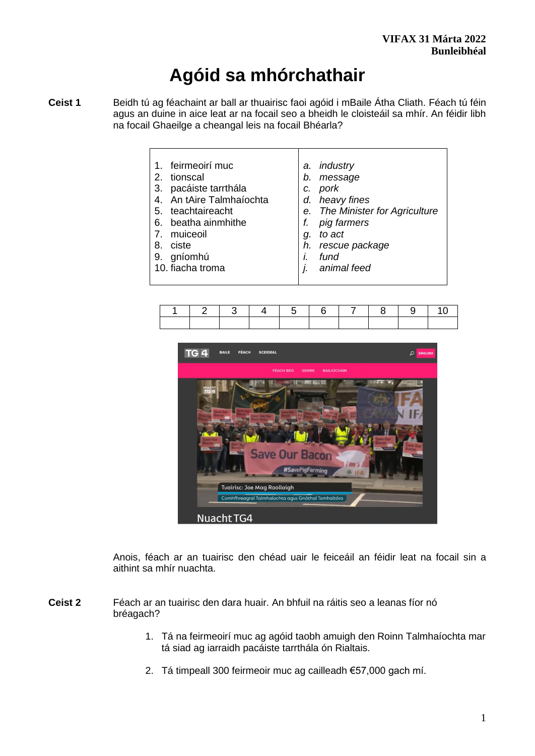# **Agóid sa mhórchathair**

**Ceist 1** Beidh tú ag féachaint ar ball ar thuairisc faoi agóid i mBaile Átha Cliath. Féach tú féin agus an duine in aice leat ar na focail seo a bheidh le cloisteáil sa mhír. An féidir libh na focail Ghaeilge a cheangal leis na focail Bhéarla?

- 1. feirmeoirí muc
- 2. tionscal
- 3. pacáiste tarrthála
- 4. An tAire Talmhaíochta
- 5. teachtaireacht
- 6. beatha ainmhithe
- 7. muiceoil
- 8. ciste
- 9. gníomhú
- 10. fiacha troma
- *a. industry*
- *b. message*
- *c. pork*
- *d. heavy fines*
- *e. The Minister for Agriculture*
- *f. pig farmers*
- *g. to act*
- *h. rescue package*
- *i. fund*
- *j. animal feed*





Anois, féach ar an tuairisc den chéad uair le feiceáil an féidir leat na focail sin a aithint sa mhír nuachta.

- **Ceist 2** Féach ar an tuairisc den dara huair. An bhfuil na ráitis seo a leanas fíor nó bréagach?
	- 1. Tá na feirmeoirí muc ag agóid taobh amuigh den Roinn Talmhaíochta mar tá siad ag iarraidh pacáiste tarrthála ón Rialtais.
	- 2. Tá timpeall 300 feirmeoir muc ag cailleadh €57,000 gach mí.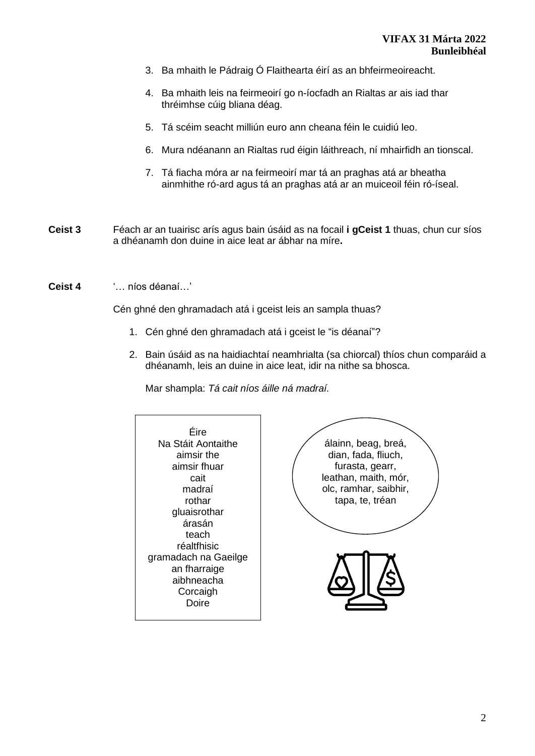- 3. Ba mhaith le Pádraig Ó Flaithearta éirí as an bhfeirmeoireacht.
- 4. Ba mhaith leis na feirmeoirí go n-íocfadh an Rialtas ar ais iad thar thréimhse cúig bliana déag.
- 5. Tá scéim seacht milliún euro ann cheana féin le cuidiú leo.
- 6. Mura ndéanann an Rialtas rud éigin láithreach, ní mhairfidh an tionscal.
- 7. Tá fiacha móra ar na feirmeoirí mar tá an praghas atá ar bheatha ainmhithe ró-ard agus tá an praghas atá ar an muiceoil féin ró-íseal.
- **Ceist 3** Féach ar an tuairisc arís agus bain úsáid as na focail **i gCeist 1** thuas, chun cur síos a dhéanamh don duine in aice leat ar ábhar na míre**.**
- **Ceist 4** '… níos déanaí…'

Cén ghné den ghramadach atá i gceist leis an sampla thuas?

- 1. Cén ghné den ghramadach atá i gceist le "is déanaí"?
- 2. Bain úsáid as na haidiachtaí neamhrialta (sa chiorcal) thíos chun comparáid a dhéanamh, leis an duine in aice leat, idir na nithe sa bhosca.

Mar shampla: *Tá cait níos áille ná madraí.*

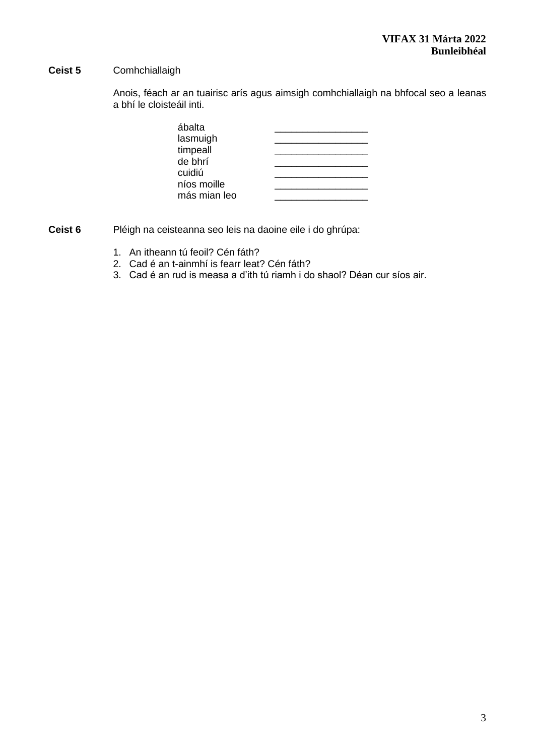**Ceist 5** Comhchiallaigh

Anois, féach ar an tuairisc arís agus aimsigh comhchiallaigh na bhfocal seo a leanas a bhí le cloisteáil inti.

| ábalta       |  |
|--------------|--|
| lasmuigh     |  |
| timpeall     |  |
| de bhrí      |  |
| cuidiú       |  |
| níos moille  |  |
| más mian leo |  |

**Ceist 6** Pléigh na ceisteanna seo leis na daoine eile i do ghrúpa:

- 1. An itheann tú feoil? Cén fáth?
- 2. Cad é an t-ainmhí is fearr leat? Cén fáth?
- 3. Cad é an rud is measa a d'ith tú riamh i do shaol? Déan cur síos air.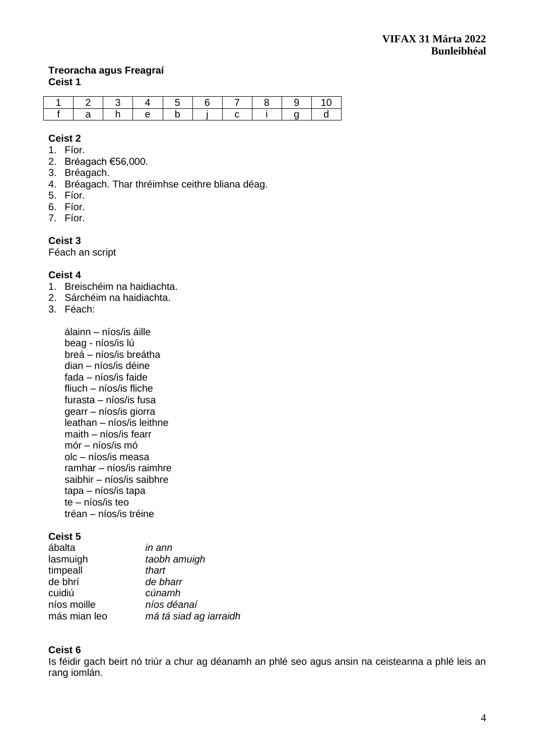# **Treoracha agus Freagraí Ceist 1**

|  |         |  |                     |  | 1314561789911 |  |
|--|---------|--|---------------------|--|---------------|--|
|  | . In Ie |  | $\sim$ 1 i 1 $\sim$ |  |               |  |

# **Ceist 2**

- 1. Fíor.
- 2. Bréagach €56,000.
- 3. Bréagach.
- 4. Bréagach. Thar thréimhse ceithre bliana déag.
- 5. Fíor.
- 6. Fíor.
- 7. Fíor.

**Ceist 3** Féach an script

# **Ceist 4**

- 1. Breischéim na haidiachta.
- 2. Sárchéim na haidiachta.
- 3. Féach:

álainn – níos/is áille beag - níos/is lú breá – níos/is breátha dian – níos/is déine fada – níos/is faide fliuch – níos/is fliche furasta – níos/is fusa gearr – níos/is giorra leathan – níos/is leithne maith – níos/is fearr mór – níos/is mó olc – níos/is measa ramhar – níos/is raimhre saibhir – níos/is saibhre tapa – níos/is tapa te – níos/is teo tréan – níos/is tréine

## **Ceist 5**

| ábalta       | in ann                 |
|--------------|------------------------|
| lasmuigh     | taobh amuigh           |
| timpeall     | thart                  |
| de bhrí      | de bharr               |
| cuidiú       | cúnamh                 |
| níos moille  | níos déanaí            |
| más mian leo | má tá siad ag iarraidh |
|              |                        |

## **Ceist 6**

Is féidir gach beirt nó triúr a chur ag déanamh an phlé seo agus ansin na ceisteanna a phlé leis an rang iomlán.